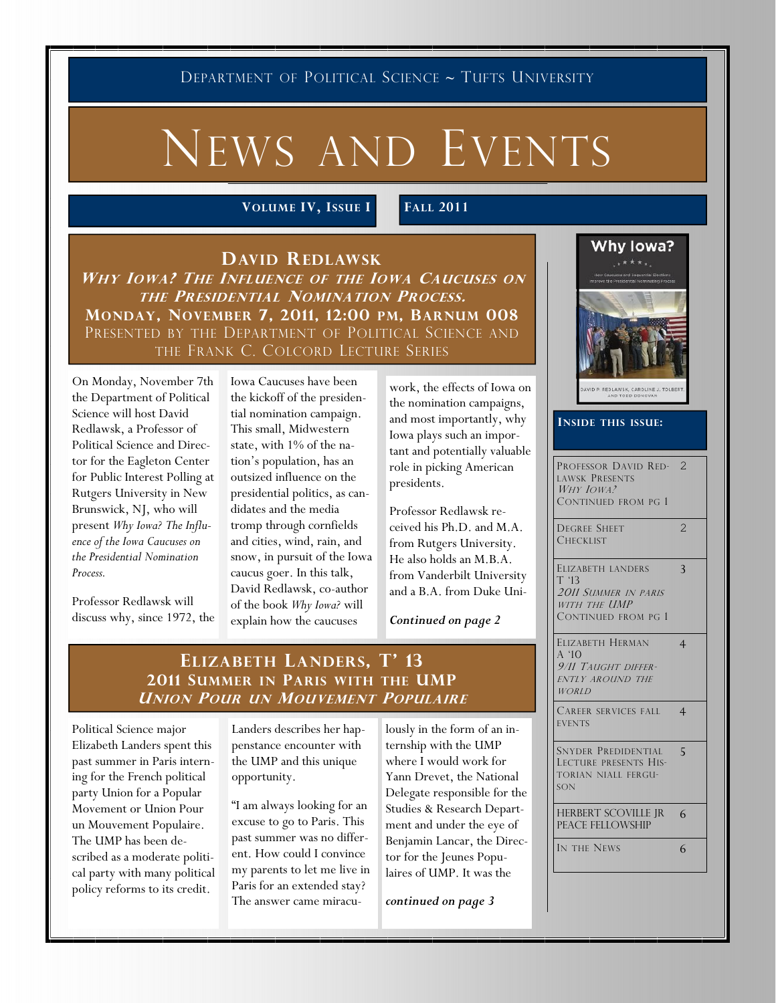DEPARTMENT OF POLITICAL SCIENCE ~ TUFTS UNIVERSITY

# NEWS AND EVENTS

VOLUME IV, ISSUE I FALL 2011

DAVID REDLAWSK WHY IOWA? THE INFLUENCE OF THE IOWA CAUCUSES ON THE PRESIDENTIAL NOMINATION PROCESS. MONDAY, NOVEMBER 7, 2011, 12:00 PM, BARNUM 008 PRESENTED BY THE DEPARTMENT OF POLITICAL SCIENCE AND THE FRANK C. COLCORD LECTURE SERIES

On Monday, November 7th the Department of Political Science will host David Redlawsk, a Professor of Political Science and Director for the Eagleton Center for Public Interest Polling at Rutgers University in New Brunswick, NJ, who will present Why Iowa? The Influence of the Iowa Caucuses on the Presidential Nomination Process.

Professor Redlawsk will discuss why, since 1972, the Iowa Caucuses have been the kickoff of the presidential nomination campaign. This small, Midwestern state, with 1% of the nation's population, has an outsized influence on the presidential politics, as candidates and the media tromp through cornfields and cities, wind, rain, and snow, in pursuit of the Iowa caucus goer. In this talk, David Redlawsk, co-author of the book Why Iowa? will explain how the caucuses

work, the effects of Iowa on the nomination campaigns, and most importantly, why Iowa plays such an important and potentially valuable role in picking American presidents.

Professor Redlawsk received his Ph.D. and M.A. from Rutgers University. He also holds an M.B.A. from Vanderbilt University and a B.A. from Duke Uni-

Continued on page 2

#### ELIZABETH LANDERS, T' 13 2011 SUMMER IN PARIS WITH THE UMP UNION POUR UN MOUVEMENT POPULAIRE

Political Science major Elizabeth Landers spent this past summer in Paris interning for the French political party Union for a Popular Movement or Union Pour un Mouvement Populaire. The UMP has been described as a moderate political party with many political policy reforms to its credit.

Landers describes her happenstance encounter with the UMP and this unique opportunity.

"I am always looking for an excuse to go to Paris. This past summer was no different. How could I convince my parents to let me live in Paris for an extended stay? The answer came miraculously in the form of an internship with the UMP where I would work for Yann Drevet, the National Delegate responsible for the Studies & Research Department and under the eye of Benjamin Lancar, the Director for the Jeunes Populaires of UMP. It was the

continued on page 3





| DAVID P. REDLAWSK, CAROLINE J. TOLBE |  |                  |  |  |  |  |  |  |  |  |  |
|--------------------------------------|--|------------------|--|--|--|--|--|--|--|--|--|
|                                      |  | AND TODD DONOVAN |  |  |  |  |  |  |  |  |  |

#### INSIDE THIS ISSUE:

| PROFESSOR DAVID RED- 2<br>LAWSK PRESENTS<br>WHY JOWA?<br>CONTINUED FROM PG 1 |  |
|------------------------------------------------------------------------------|--|
| <b>DEGREE SHEET</b>                                                          |  |

| <b>CHECKLIST</b>                                   |   |
|----------------------------------------------------|---|
| ELIZABETH LANDERS<br>T '13<br>2011 SUMMER IN PARIS | ζ |
| WITH THE UMP<br>CONTINUED FROM PG 1                |   |
| ELIZABETH HERMAN                                   |   |

| A'1O<br>9/11 TAUGHT DIFFER-<br><b>ENTLY AROUND THE</b><br><b>WORLD</b>            |   |
|-----------------------------------------------------------------------------------|---|
| CAREER SERVICES FALL<br><b>EVENTS</b>                                             | 4 |
| <b>SNYDER PREDIDENTIAL</b><br>LECTURE PRESENTS HIS-<br>TORIAN NIALL FERGU-<br>SON | 5 |
| <b>HERBERT SCOVILLE JR</b><br><b>PEACE FELLOWSHIP</b>                             | 6 |
| IN THE NEWS                                                                       |   |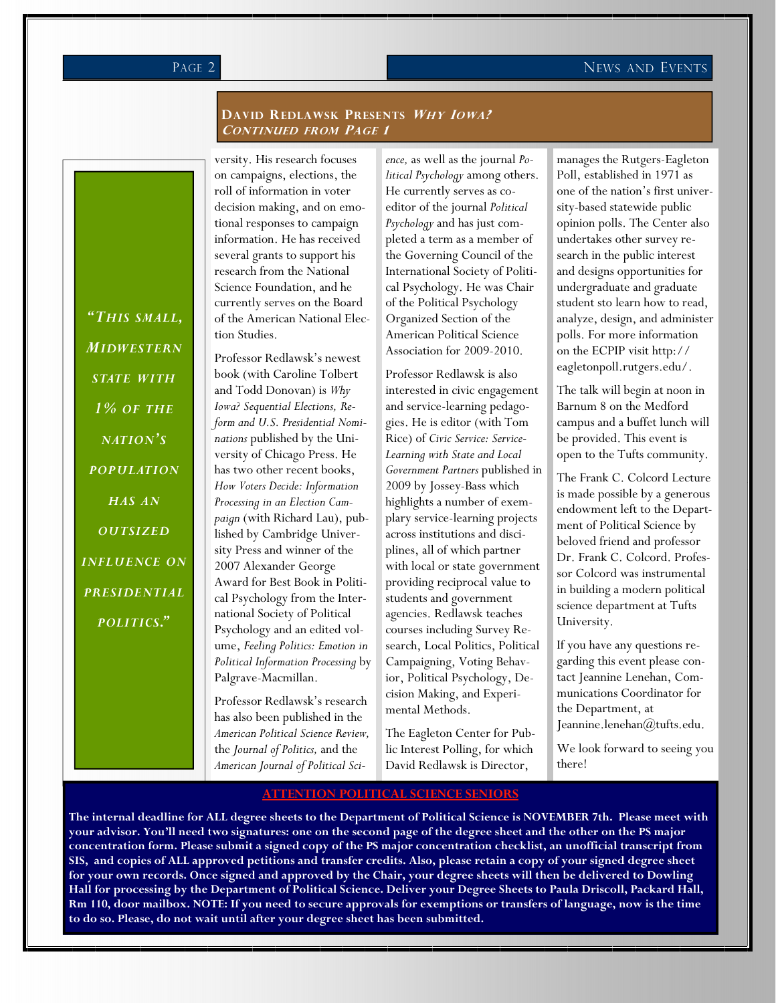#### PAGE 2 NEWS AND EVENTS

#### DAVID REDLAWSK PRESENTS WHY IOWA? CONTINUED FROM PAGE 1

"THIS SMALL, MIDWESTERN STATE WITH 1% OF THE NATION'S **POPULATION** HAS AN **OUTSIZED** INFLUENCE ON PRESIDENTIAL POLITICS."

versity. His research focuses on campaigns, elections, the roll of information in voter decision making, and on emotional responses to campaign information. He has received several grants to support his research from the National Science Foundation, and he currently serves on the Board of the American National Election Studies.

Professor Redlawsk's newest book (with Caroline Tolbert and Todd Donovan) is Why Iowa? Sequential Elections, Reform and U.S. Presidential Nominations published by the University of Chicago Press. He has two other recent books, How Voters Decide: Information Processing in an Election Campaign (with Richard Lau), published by Cambridge University Press and winner of the 2007 Alexander George Award for Best Book in Political Psychology from the International Society of Political Psychology and an edited volume, Feeling Politics: Emotion in Political Information Processing by Palgrave-Macmillan.

Professor Redlawsk's research has also been published in the American Political Science Review, the Journal of Politics, and the American Journal of Political Science, as well as the journal Political Psychology among others. He currently serves as coeditor of the journal Political Psychology and has just completed a term as a member of the Governing Council of the International Society of Political Psychology. He was Chair of the Political Psychology Organized Section of the American Political Science Association for 2009-2010.

Professor Redlawsk is also interested in civic engagement and service-learning pedagogies. He is editor (with Tom Rice) of Civic Service: Service-Learning with State and Local Government Partners published in 2009 by Jossey-Bass which highlights a number of exemplary service-learning projects across institutions and disciplines, all of which partner with local or state government providing reciprocal value to students and government agencies. Redlawsk teaches courses including Survey Research, Local Politics, Political Campaigning, Voting Behavior, Political Psychology, Decision Making, and Experimental Methods.

The Eagleton Center for Public Interest Polling, for which David Redlawsk is Director,

manages the Rutgers-Eagleton Poll, established in 1971 as one of the nation's first university-based statewide public opinion polls. The Center also undertakes other survey research in the public interest and designs opportunities for undergraduate and graduate student sto learn how to read, analyze, design, and administer polls. For more information on the ECPIP visit http:// eagletonpoll.rutgers.edu/.

The talk will begin at noon in Barnum 8 on the Medford campus and a buffet lunch will be provided. This event is open to the Tufts community.

The Frank C. Colcord Lecture is made possible by a generous endowment left to the Department of Political Science by beloved friend and professor Dr. Frank C. Colcord. Professor Colcord was instrumental in building a modern political science department at Tufts University.

If you have any questions regarding this event please contact Jeannine Lenehan, Communications Coordinator for the Department, at Jeannine.lenehan@tufts.edu.

We look forward to seeing you there!

#### ATTENTION POLITICAL SCIENCE SENIORS

The internal deadline for ALL degree sheets to the Department of Political Science is NOVEMBER 7th. Please meet with your advisor. You'll need two signatures: one on the second page of the degree sheet and the other on the PS major concentration form. Please submit a signed copy of the PS major concentration checklist, an unofficial transcript from SIS, and copies of ALL approved petitions and transfer credits. Also, please retain a copy of your signed degree sheet for your own records. Once signed and approved by the Chair, your degree sheets will then be delivered to Dowling Hall for processing by the Department of Political Science. Deliver your Degree Sheets to Paula Driscoll, Packard Hall, Rm 110, door mailbox. NOTE: If you need to secure approvals for exemptions or transfers of language, now is the time to do so. Please, do not wait until after your degree sheet has been submitted.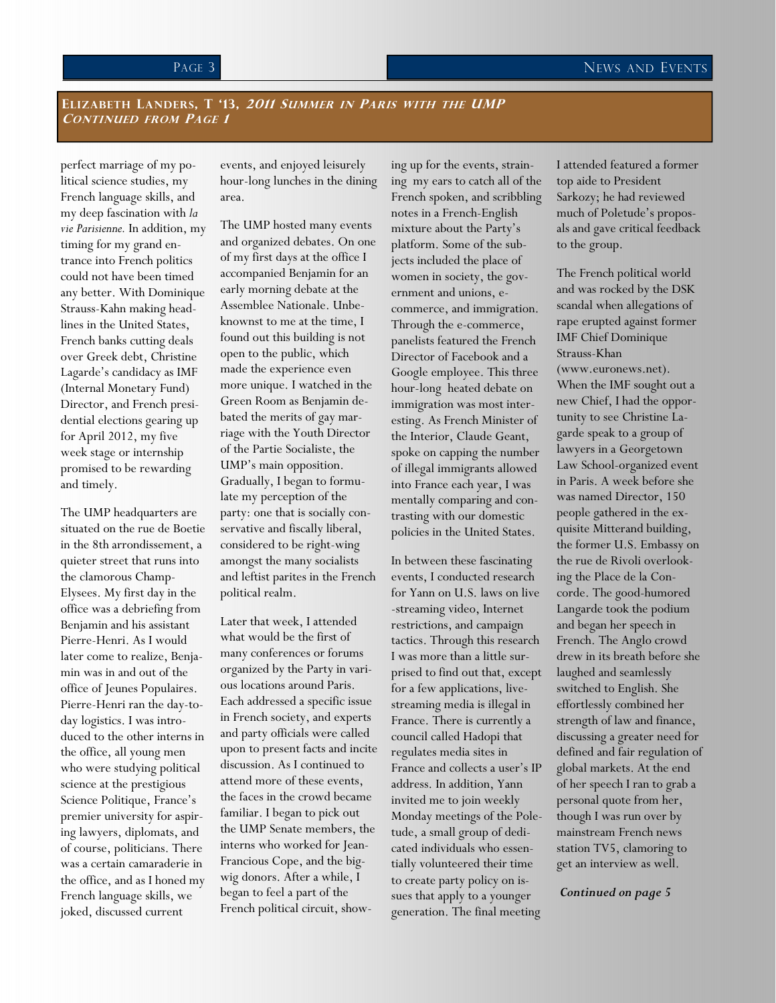#### ELIZABETH LANDERS, T '13, 2011 SUMMER IN PARIS WITH THE UMP CONTINUED FROM PAGE 1

perfect marriage of my political science studies, my French language skills, and my deep fascination with la vie Parisienne. In addition, my timing for my grand entrance into French politics could not have been timed any better. With Dominique Strauss-Kahn making headlines in the United States, French banks cutting deals over Greek debt, Christine Lagarde's candidacy as IMF (Internal Monetary Fund) Director, and French presidential elections gearing up for April 2012, my five week stage or internship promised to be rewarding and timely.

The UMP headquarters are situated on the rue de Boetie in the 8th arrondissement, a quieter street that runs into the clamorous Champ-Elysees. My first day in the office was a debriefing from Benjamin and his assistant Pierre-Henri. As I would later come to realize, Benjamin was in and out of the office of Jeunes Populaires. Pierre-Henri ran the day-today logistics. I was introduced to the other interns in the office, all young men who were studying political science at the prestigious Science Politique, France's premier university for aspiring lawyers, diplomats, and of course, politicians. There was a certain camaraderie in the office, and as I honed my French language skills, we joked, discussed current

events, and enjoyed leisurely hour-long lunches in the dining area.

The UMP hosted many events and organized debates. On one of my first days at the office I accompanied Benjamin for an early morning debate at the Assemblee Nationale. Unbeknownst to me at the time, I found out this building is not open to the public, which made the experience even more unique. I watched in the Green Room as Benjamin debated the merits of gay marriage with the Youth Director of the Partie Socialiste, the UMP's main opposition. Gradually, I began to formulate my perception of the party: one that is socially conservative and fiscally liberal, considered to be right-wing amongst the many socialists and leftist parites in the French political realm.

Later that week, I attended what would be the first of many conferences or forums organized by the Party in various locations around Paris. Each addressed a specific issue in French society, and experts and party officials were called upon to present facts and incite discussion. As I continued to attend more of these events, the faces in the crowd became familiar. I began to pick out the UMP Senate members, the interns who worked for Jean-Francious Cope, and the bigwig donors. After a while, I began to feel a part of the French political circuit, showing up for the events, straining my ears to catch all of the French spoken, and scribbling notes in a French-English mixture about the Party's platform. Some of the subjects included the place of women in society, the government and unions, ecommerce, and immigration. Through the e-commerce, panelists featured the French Director of Facebook and a Google employee. This three hour-long heated debate on immigration was most interesting. As French Minister of the Interior, Claude Geant, spoke on capping the number of illegal immigrants allowed into France each year, I was mentally comparing and contrasting with our domestic policies in the United States.

In between these fascinating events, I conducted research for Yann on U.S. laws on live -streaming video, Internet restrictions, and campaign tactics. Through this research I was more than a little surprised to find out that, except for a few applications, livestreaming media is illegal in France. There is currently a council called Hadopi that regulates media sites in France and collects a user's IP address. In addition, Yann invited me to join weekly Monday meetings of the Poletude, a small group of dedicated individuals who essentially volunteered their time to create party policy on issues that apply to a younger generation. The final meeting

I attended featured a former top aide to President Sarkozy; he had reviewed much of Poletude's proposals and gave critical feedback to the group.

The French political world and was rocked by the DSK scandal when allegations of rape erupted against former IMF Chief Dominique Strauss-Khan (www.euronews.net). When the IMF sought out a new Chief, I had the opportunity to see Christine Lagarde speak to a group of lawyers in a Georgetown Law School-organized event in Paris. A week before she was named Director, 150 people gathered in the exquisite Mitterand building, the former U.S. Embassy on the rue de Rivoli overlooking the Place de la Concorde. The good-humored Langarde took the podium and began her speech in French. The Anglo crowd drew in its breath before she laughed and seamlessly switched to English. She effortlessly combined her strength of law and finance, discussing a greater need for defined and fair regulation of global markets. At the end of her speech I ran to grab a personal quote from her, though I was run over by mainstream French news station TV5, clamoring to get an interview as well.

Continued on page 5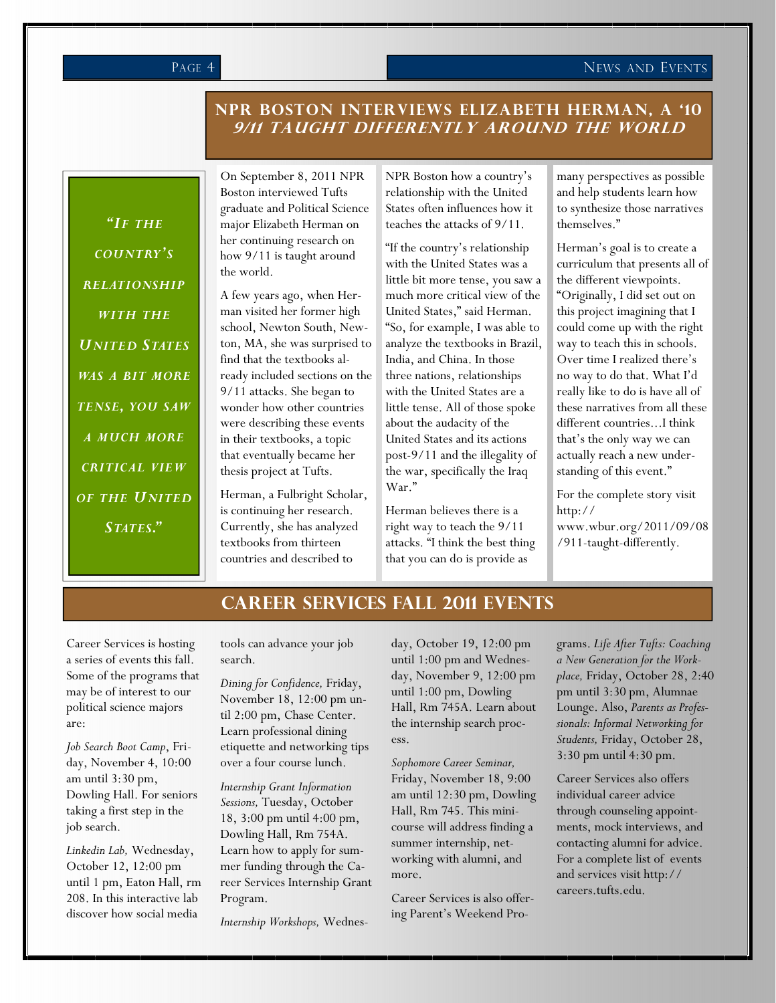#### PAGE 4 NEWS AND EVENTS

#### NPR BOSTON INTERVIEWS ELIZABETH HERMAN, A '10 9/11 TAUGHT DIFFERENTLY AROUND THE WORLD

"IF THE COUNTRY'S RELATIONSHIP WITH THE UNITED STATES WAS A BIT MORE TENSE, YOU SAW A MUCH MORE CRITICAL VIEW OF THE UNITED STATES."

On September 8, 2011 NPR Boston interviewed Tufts graduate and Political Science major Elizabeth Herman on her continuing research on how 9/11 is taught around the world.

A few years ago, when Herman visited her former high school, Newton South, Newton, MA, she was surprised to find that the textbooks already included sections on the 9/11 attacks. She began to wonder how other countries were describing these events in their textbooks, a topic that eventually became her thesis project at Tufts.

Herman, a Fulbright Scholar, is continuing her research. Currently, she has analyzed textbooks from thirteen countries and described to

NPR Boston how a country's relationship with the United States often influences how it teaches the attacks of 9/11.

"If the country's relationship with the United States was a little bit more tense, you saw a much more critical view of the United States," said Herman. "So, for example, I was able to analyze the textbooks in Brazil, India, and China. In those three nations, relationships with the United States are a little tense. All of those spoke about the audacity of the United States and its actions post-9/11 and the illegality of the war, specifically the Iraq War."

Herman believes there is a right way to teach the 9/11 attacks. "I think the best thing that you can do is provide as

many perspectives as possible and help students learn how to synthesize those narratives themselves."

Herman's goal is to create a curriculum that presents all of the different viewpoints. "Originally, I did set out on this project imagining that I could come up with the right way to teach this in schools. Over time I realized there's no way to do that. What I'd really like to do is have all of these narratives from all these different countries...I think that's the only way we can actually reach a new understanding of this event."

For the complete story visit http://

www.wbur.org/2011/09/08 /911-taught-differently.

#### CAREER SERVICES FALL 2011 EVENTS

Career Services is hosting a series of events this fall. Some of the programs that may be of interest to our political science majors are:

Job Search Boot Camp, Friday, November 4, 10:00 am until 3:30 pm, Dowling Hall. For seniors taking a first step in the job search.

Linkedin Lab, Wednesday, October 12, 12:00 pm until 1 pm, Eaton Hall, rm 208. In this interactive lab discover how social media

tools can advance your job search.

Dining for Confidence, Friday, November 18, 12:00 pm until 2:00 pm, Chase Center. Learn professional dining etiquette and networking tips over a four course lunch.

Internship Grant Information Sessions, Tuesday, October 18, 3:00 pm until 4:00 pm, Dowling Hall, Rm 754A. Learn how to apply for summer funding through the Career Services Internship Grant Program.

Internship Workshops, Wednes-

day, October 19, 12:00 pm until 1:00 pm and Wednesday, November 9, 12:00 pm until 1:00 pm, Dowling Hall, Rm 745A. Learn about the internship search process.

Sophomore Career Seminar, Friday, November 18, 9:00 am until 12:30 pm, Dowling Hall, Rm 745. This minicourse will address finding a summer internship, networking with alumni, and more.

Career Services is also offering Parent's Weekend Programs. Life After Tufts: Coaching a New Generation for the Workplace, Friday, October 28, 2:40 pm until 3:30 pm, Alumnae Lounge. Also, Parents as Professionals: Informal Networking for Students, Friday, October 28, 3:30 pm until 4:30 pm.

Career Services also offers individual career advice through counseling appointments, mock interviews, and contacting alumni for advice. For a complete list of events and services visit http:// careers.tufts.edu.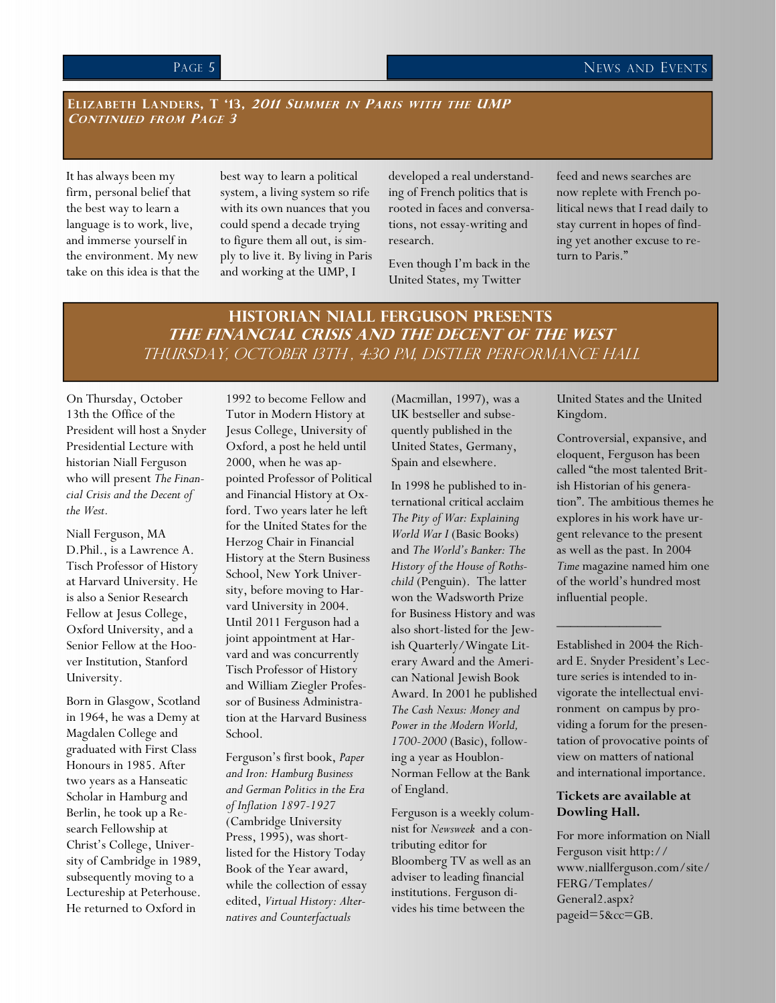#### ELIZABETH LANDERS, T '13, 2011 SUMMER IN PARIS WITH THE UMP CONTINUED FROM PAGE 3

It has always been my firm, personal belief that the best way to learn a language is to work, live, and immerse yourself in the environment. My new take on this idea is that the best way to learn a political system, a living system so rife with its own nuances that you could spend a decade trying to figure them all out, is simply to live it. By living in Paris and working at the UMP, I

developed a real understanding of French politics that is rooted in faces and conversations, not essay-writing and research.

Even though I'm back in the United States, my Twitter

feed and news searches are now replete with French political news that I read daily to stay current in hopes of finding yet another excuse to return to Paris."

#### Historian Niall Ferguson Presents The Financial Crisis and the Decent of the West Thursday, October 13th , 4:30 pm, Distler Performance Hall

On Thursday, October 13th the Office of the President will host a Snyder Presidential Lecture with historian Niall Ferguson who will present The Financial Crisis and the Decent of the West.

Niall Ferguson, MA D.Phil., is a Lawrence A. Tisch Professor of History at Harvard University. He is also a Senior Research Fellow at Jesus College, Oxford University, and a Senior Fellow at the Hoover Institution, Stanford University.

Born in Glasgow, Scotland in 1964, he was a Demy at Magdalen College and graduated with First Class Honours in 1985. After two years as a Hanseatic Scholar in Hamburg and Berlin, he took up a Research Fellowship at Christ's College, University of Cambridge in 1989, subsequently moving to a Lectureship at Peterhouse. He returned to Oxford in

1992 to become Fellow and Tutor in Modern History at Jesus College, University of Oxford, a post he held until 2000, when he was appointed Professor of Political and Financial History at Oxford. Two years later he left for the United States for the Herzog Chair in Financial History at the Stern Business School, New York University, before moving to Harvard University in 2004. Until 2011 Ferguson had a joint appointment at Harvard and was concurrently Tisch Professor of History and William Ziegler Professor of Business Administration at the Harvard Business School.

Ferguson's first book, Paper and Iron: Hamburg Business and German Politics in the Era of Inflation 1897-1927 (Cambridge University Press, 1995), was shortlisted for the History Today Book of the Year award, while the collection of essay edited, Virtual History: Alternatives and Counterfactuals

(Macmillan, 1997), was a UK bestseller and subsequently published in the United States, Germany, Spain and elsewhere.

In 1998 he published to international critical acclaim The Pity of War: Explaining World War I (Basic Books) and The World's Banker: The History of the House of Rothschild (Penguin). The latter won the Wadsworth Prize for Business History and was also short-listed for the Jewish Quarterly/Wingate Literary Award and the American National Jewish Book Award. In 2001 he published The Cash Nexus: Money and Power in the Modern World, 1700-2000 (Basic), following a year as Houblon-Norman Fellow at the Bank of England.

Ferguson is a weekly columnist for Newsweek and a contributing editor for Bloomberg TV as well as an adviser to leading financial institutions. Ferguson divides his time between the

United States and the United Kingdom.

Controversial, expansive, and eloquent, Ferguson has been called "the most talented British Historian of his generation". The ambitious themes he explores in his work have urgent relevance to the present as well as the past. In 2004 Time magazine named him one of the world's hundred most influential people.

Established in 2004 the Richard E. Snyder President's Lecture series is intended to invigorate the intellectual environment on campus by providing a forum for the presentation of provocative points of view on matters of national and international importance.

 $\frac{1}{2}$  ,  $\frac{1}{2}$  ,  $\frac{1}{2}$  ,  $\frac{1}{2}$  ,  $\frac{1}{2}$  ,  $\frac{1}{2}$  ,  $\frac{1}{2}$ 

#### Tickets are available at Dowling Hall.

For more information on Niall Ferguson visit http:// www.niallferguson.com/site/ FERG/Templates/ General2.aspx? pageid=5&cc=GB.